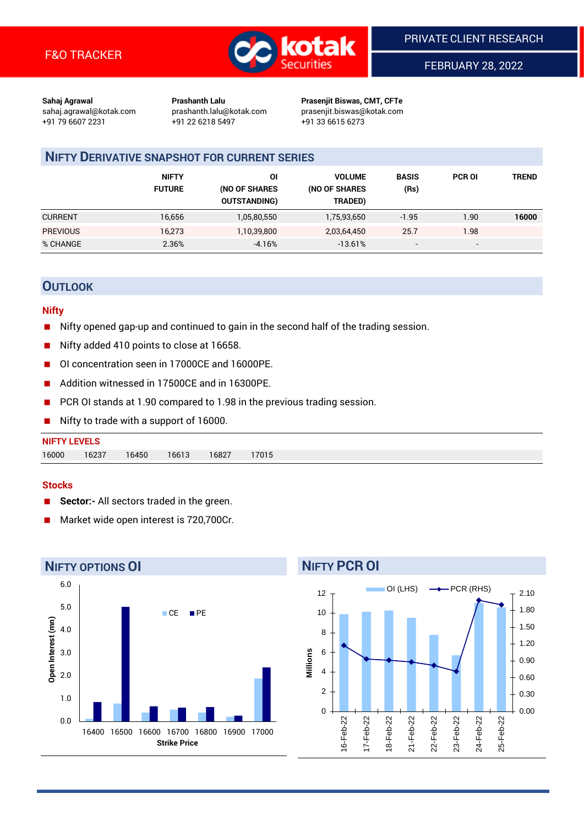

FEBRUARY 28, 2022

**Sahaj Agrawal Prashanth Lalu Prasenjit Biswas, CMT, CFTe** +91 79 6607 2231 +91 22 6218 5497 +91 33 6615 6273

sahaj.agrawal@kotak.com [prashanth.lalu@kotak.com](mailto:prashanth.lalu@kotak.com) prasenjit.biswas@kotak.com

# **NIFTY DERIVATIVE SNAPSHOT FOR CURRENT SERIES**

|                 | <b>NIFTY</b><br><b>FUTURE</b> | 01<br>(NO OF SHARES<br><b>OUTSTANDING)</b> | <b>VOLUME</b><br>(NO OF SHARES<br>TRADED) | <b>BASIS</b><br>(Rs)     | <b>PCR OI</b>            | <b>TREND</b> |
|-----------------|-------------------------------|--------------------------------------------|-------------------------------------------|--------------------------|--------------------------|--------------|
| <b>CURRENT</b>  | 16,656                        | 1,05,80,550                                | 1,75,93,650                               | $-1.95$                  | 1.90                     | 16000        |
| <b>PREVIOUS</b> | 16,273                        | 1,10,39,800                                | 2,03,64,450                               | 25.7                     | 1.98                     |              |
| % CHANGE        | 2.36%                         | $-4.16%$                                   | $-13.61%$                                 | $\overline{\phantom{0}}$ | $\overline{\phantom{a}}$ |              |

## **OUTLOOK**

#### **Nifty**

- Nifty opened gap-up and continued to gain in the second half of the trading session.
- Nifty added 410 points to close at 16658.
- OI concentration seen in 17000CE and 16000PE.
- Addition witnessed in 17500CE and in 16300PE.
- PCR OI stands at 1.90 compared to 1.98 in the previous trading session.
- Nifty to trade with a support of 16000.

#### **Stocks**

- **Sector:-** All sectors traded in the green.
- Market wide open interest is 720,700Cr.



# **NIFTY PCR OI**

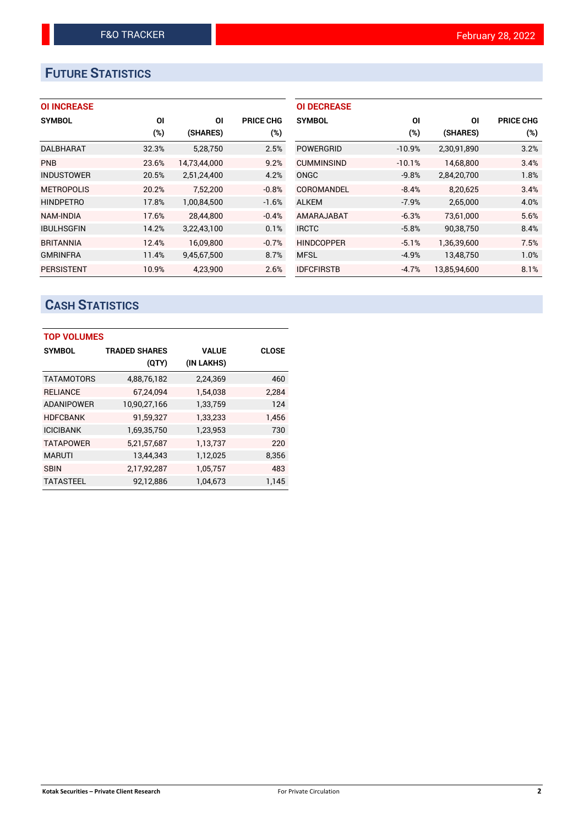# **FUTURE STATISTICS**

## **OI INCREASE**

| <b>SYMBOL</b>     | ΟI     | ΟI           | <b>PRICE CHG</b> |
|-------------------|--------|--------------|------------------|
|                   | $(\%)$ | (SHARES)     | $(\%)$           |
| <b>DALBHARAT</b>  | 32.3%  | 5.28.750     | 2.5%             |
| <b>PNB</b>        | 23.6%  | 14,73,44,000 | 9.2%             |
| <b>INDUSTOWER</b> | 20.5%  | 2,51,24,400  | 4.2%             |
| <b>METROPOLIS</b> | 20.2%  | 7,52,200     | $-0.8%$          |
| <b>HINDPETRO</b>  | 17.8%  | 1,00,84,500  | $-1.6%$          |
| <b>NAM-INDIA</b>  | 17.6%  | 28.44.800    | $-0.4%$          |
| <b>IBULHSGFIN</b> | 14.2%  | 3,22,43,100  | 0.1%             |
| <b>BRITANNIA</b>  | 12.4%  | 16,09,800    | $-0.7%$          |
| <b>GMRINFRA</b>   | 11.4%  | 9,45,67,500  | 8.7%             |
| <b>PERSISTENT</b> | 10.9%  | 4.23.900     | 2.6%             |

| <b>OI DECREASE</b> |          |              |                  |
|--------------------|----------|--------------|------------------|
| <b>SYMBOL</b>      | ΟI       | ΟI           | <b>PRICE CHG</b> |
|                    | (%)      | (SHARES)     | $(\%)$           |
| <b>POWERGRID</b>   | $-10.9%$ | 2,30,91,890  | 3.2%             |
| <b>CUMMINSIND</b>  | $-10.1%$ | 14,68,800    | 3.4%             |
| ONGC               | $-9.8%$  | 2,84,20,700  | 1.8%             |
| COROMANDEL         | $-8.4%$  | 8,20,625     | 3.4%             |
| <b>ALKEM</b>       | $-7.9%$  | 2,65,000     | 4.0%             |
| AMARAJABAT         | $-6.3%$  | 73,61,000    | 5.6%             |
| <b>IRCTC</b>       | $-5.8%$  | 90,38,750    | 8.4%             |
| <b>HINDCOPPER</b>  | $-5.1%$  | 1,36,39,600  | 7.5%             |
| <b>MFSL</b>        | $-4.9%$  | 13,48,750    | 1.0%             |
| <b>IDFCFIRSTB</b>  | $-4.7%$  | 13.85.94.600 | 8.1%             |

# **CASH STATISTICS**

| <b>TOP VOLUMES</b> |                      |              |              |
|--------------------|----------------------|--------------|--------------|
| <b>SYMBOL</b>      | <b>TRADED SHARES</b> | <b>VALUE</b> | <b>CLOSE</b> |
|                    | (QTY)                | (IN LAKHS)   |              |
| <b>TATAMOTORS</b>  | 4,88,76,182          | 2,24,369     | 460          |
| <b>RELIANCE</b>    | 67,24,094            | 1,54,038     | 2,284        |
| <b>ADANIPOWER</b>  | 10,90,27,166         | 1,33,759     | 124          |
| <b>HDFCBANK</b>    | 91,59,327            | 1,33,233     | 1,456        |
| <b>ICICIBANK</b>   | 1,69,35,750          | 1,23,953     | 730          |
| <b>TATAPOWER</b>   | 5,21,57,687          | 1,13,737     | 220          |
| <b>MARUTI</b>      | 13,44,343            | 1,12,025     | 8,356        |
| <b>SBIN</b>        | 2,17,92,287          | 1,05,757     | 483          |
| <b>TATASTEEL</b>   | 92,12,886            | 1,04,673     | 1,145        |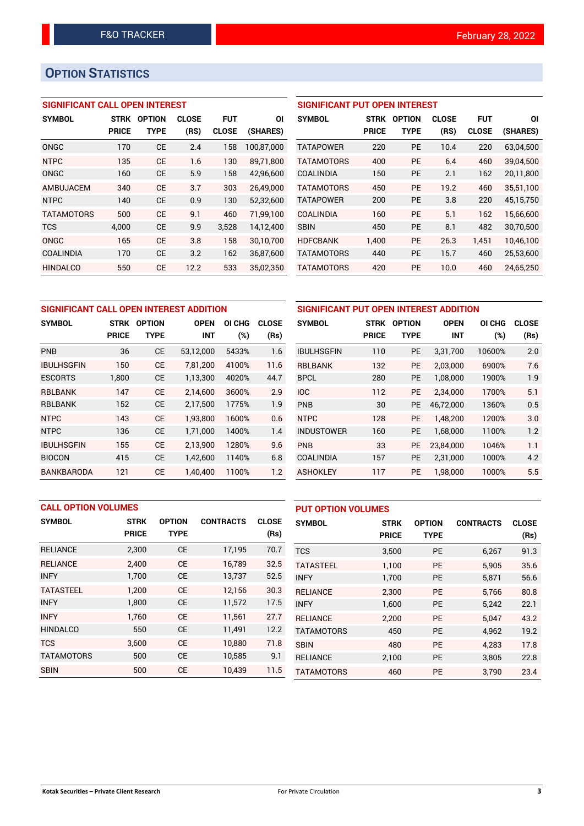# **OPTION STATISTICS**

## **SIGNIFICANT CALL OPEN INTEREST**

| <b>SYMBOL</b>     | <b>STRK</b>  | OPTION      | <b>CLOSE</b> | FUT          | ΟI         |
|-------------------|--------------|-------------|--------------|--------------|------------|
|                   | <b>PRICE</b> | <b>TYPE</b> | (RS)         | <b>CLOSE</b> | (SHARES)   |
| ONGC              | 170          | CE          | 2.4          | 158          | 100.87.000 |
| <b>NTPC</b>       | 135          | CE          | 1.6          | 130          | 89.71.800  |
| ONGC              | 160          | CE          | 5.9          | 158          | 42,96,600  |
| AMBUJACEM         | 340          | CE          | 3.7          | 303          | 26,49,000  |
| <b>NTPC</b>       | 140          | CE          | 0.9          | 130          | 52,32,600  |
| <b>TATAMOTORS</b> | 500          | CE          | 9.1          | 460          | 71,99,100  |
| <b>TCS</b>        | 4.000        | CE          | 9.9          | 3,528        | 14,12,400  |
| ONGC              | 165          | CE          | 3.8          | 158          | 30,10,700  |
| COALINDIA         | 170          | CE          | 3.2          | 162          | 36,87,600  |
| <b>HINDALCO</b>   | 550          | CE          | 12.2         | 533          | 35,02,350  |

## **SIGNIFICANT PUT OPEN INTEREST**

| <b>SYMBOL</b>     | <b>STRK</b><br><b>PRICE</b> | <b>OPTION</b><br>TYPE | <b>CLOSE</b><br>(RS) | <b>FUT</b><br><b>CLOSE</b> | ΟI<br>(SHARES) |
|-------------------|-----------------------------|-----------------------|----------------------|----------------------------|----------------|
| TATAPOWER         | 220                         | PF                    | 10.4                 | 220                        | 63,04,500      |
| <b>TATAMOTORS</b> | 400                         | PF                    | 6.4                  | 460                        | 39,04,500      |
| <b>COALINDIA</b>  | 150                         | PF                    | 2.1                  | 162                        | 20,11,800      |
| <b>TATAMOTORS</b> | 450                         | PF                    | 19.2                 | 460                        | 35.51.100      |
| <b>TATAPOWER</b>  | 200                         | PF                    | 3.8                  | 220                        | 45,15,750      |
| COALINDIA         | 160                         | PF                    | 5.1                  | 162                        | 15,66,600      |
| <b>SBIN</b>       | 450                         | PF                    | 8.1                  | 482                        | 30,70,500      |
| <b>HDFCBANK</b>   | 1.400                       | <b>PE</b>             | 26.3                 | 1,451                      | 10,46,100      |
| <b>TATAMOTORS</b> | 440                         | <b>PE</b>             | 15.7                 | 460                        | 25,53,600      |
| <b>TATAMOTORS</b> | 420                         | <b>PE</b>             | 10.0                 | 460                        | 24,65,250      |

| SIGNIFICANT CALL OPEN INTEREST ADDITION | <b>SIGNIFICANT</b> |               |             |        |              |                   |
|-----------------------------------------|--------------------|---------------|-------------|--------|--------------|-------------------|
| <b>SYMBOL</b>                           | <b>STRK</b>        | <b>OPTION</b> | <b>OPEN</b> | OI CHG | <b>CLOSE</b> | <b>SYMBOL</b>     |
|                                         | <b>PRICE</b>       | <b>TYPE</b>   | <b>INT</b>  | (%)    | (Rs)         |                   |
| PNB                                     | 36                 | <b>CE</b>     | 53,12,000   | 5433%  | 1.6          | <b>IBULHSGFIN</b> |
| <b>IBULHSGFIN</b>                       | 150                | <b>CE</b>     | 7,81,200    | 4100%  | 11.6         | <b>RBLBANK</b>    |
| <b>ESCORTS</b>                          | 1,800              | <b>CE</b>     | 1,13,300    | 4020%  | 44.7         | <b>BPCL</b>       |
| <b>RBLBANK</b>                          | 147                | <b>CE</b>     | 2,14,600    | 3600%  | 2.9          | <b>IOC</b>        |
| <b>RBLBANK</b>                          | 152                | <b>CE</b>     | 2,17,500    | 1775%  | 1.9          | <b>PNB</b>        |
| <b>NTPC</b>                             | 143                | <b>CE</b>     | 1.93.800    | 1600%  | 0.6          | <b>NTPC</b>       |
| <b>NTPC</b>                             | 136                | <b>CE</b>     | 1,71,000    | 1400%  | 1.4          | <b>INDUSTOWER</b> |
| <b>IBULHSGFIN</b>                       | 155                | <b>CE</b>     | 2,13,900    | 1280%  | 9.6          | PNB               |
| <b>BIOCON</b>                           | 415                | <b>CE</b>     | 1,42,600    | 1140%  | 6.8          | <b>COALINDIA</b>  |
| <b>BANKBARODA</b>                       | 121                | <b>CE</b>     | 1,40,400    | 1100%  | 1.2          | <b>ASHOKLEY</b>   |

| SIGNIFICANT PUT OPEN INTEREST ADDITION |              |               |             |        |              |  |  |  |
|----------------------------------------|--------------|---------------|-------------|--------|--------------|--|--|--|
| <b>SYMBOL</b>                          | <b>STRK</b>  | <b>OPTION</b> | <b>OPEN</b> | OI CHG | <b>CLOSE</b> |  |  |  |
|                                        | <b>PRICE</b> | <b>TYPE</b>   | <b>INT</b>  | $(\%)$ | (Rs)         |  |  |  |
| <b>IBULHSGFIN</b>                      | 110          | <b>PE</b>     | 3,31,700    | 10600% | 2.0          |  |  |  |
| <b>RBLBANK</b>                         | 132          | <b>PE</b>     | 2,03,000    | 6900%  | 7.6          |  |  |  |
| <b>BPCL</b>                            | 280          | PE.           | 1,08,000    | 1900%  | 1.9          |  |  |  |
| <b>IOC</b>                             | 112          | <b>PE</b>     | 2,34,000    | 1700%  | 5.1          |  |  |  |
| <b>PNB</b>                             | 30           | <b>PE</b>     | 46,72,000   | 1360%  | 0.5          |  |  |  |
| <b>NTPC</b>                            | 128          | <b>PE</b>     | 1.48.200    | 1200%  | 3.0          |  |  |  |
| <b>INDUSTOWER</b>                      | 160          | PE.           | 1,68,000    | 1100%  | 1.2          |  |  |  |
| <b>PNB</b>                             | 33           | <b>PE</b>     | 23,84,000   | 1046%  | 1.1          |  |  |  |
| <b>COALINDIA</b>                       | 157          | PE            | 2,31,000    | 1000%  | 4.2          |  |  |  |
| <b>ASHOKLEY</b>                        | 117          | PE            | 1,98,000    | 1000%  | 5.5          |  |  |  |

| <b>CALL OPTION VOLUMES</b> |              |               |                  |              | <b>PUT OPTION VOLUMES</b> |              |               |                  |              |
|----------------------------|--------------|---------------|------------------|--------------|---------------------------|--------------|---------------|------------------|--------------|
| <b>SYMBOL</b>              | <b>STRK</b>  | <b>OPTION</b> | <b>CONTRACTS</b> | <b>CLOSE</b> | <b>SYMBOL</b>             | <b>STRK</b>  | <b>OPTION</b> | <b>CONTRACTS</b> | <b>CLOSE</b> |
|                            | <b>PRICE</b> | <b>TYPE</b>   |                  | (Rs)         |                           | <b>PRICE</b> | <b>TYPE</b>   |                  | (Rs)         |
| <b>RELIANCE</b>            | 2,300        | <b>CE</b>     | 17,195           | 70.7         | <b>TCS</b>                | 3,500        | <b>PE</b>     | 6,267            | 91.3         |
| <b>RELIANCE</b>            | 2,400        | <b>CE</b>     | 16,789           | 32.5         | <b>TATASTEEL</b>          | 1.100        | <b>PE</b>     | 5.905            | 35.6         |
| <b>INFY</b>                | 1,700        | <b>CE</b>     | 13,737           | 52.5         | <b>INFY</b>               | 1,700        | <b>PE</b>     | 5,871            | 56.6         |
| <b>TATASTEEL</b>           | 1,200        | <b>CE</b>     | 12,156           | 30.3         | <b>RELIANCE</b>           | 2.300        | <b>PE</b>     | 5,766            | 80.8         |
| <b>INFY</b>                | 1,800        | <b>CE</b>     | 11,572           | 17.5         | <b>INFY</b>               | 1,600        | <b>PE</b>     | 5,242            | 22.1         |
| <b>INFY</b>                | 1.760        | <b>CE</b>     | 11,561           | 27.7         | <b>RELIANCE</b>           | 2.200        | <b>PE</b>     | 5.047            | 43.2         |
| <b>HINDALCO</b>            | 550          | <b>CE</b>     | 11,491           | 12.2         | <b>TATAMOTORS</b>         | 450          | <b>PE</b>     | 4,962            | 19.2         |
| <b>TCS</b>                 | 3.600        | <b>CE</b>     | 10.880           | 71.8         | <b>SBIN</b>               | 480          | <b>PE</b>     | 4.283            | 17.8         |
| <b>TATAMOTORS</b>          | 500          | <b>CE</b>     | 10,585           | 9.1          | <b>RELIANCE</b>           | 2,100        | <b>PE</b>     | 3,805            | 22.8         |
| <b>SBIN</b>                | 500          | <b>CE</b>     | 10.439           | 11.5         | <b>TATAMOTORS</b>         | 460          | <b>PE</b>     | 3,790            | 23.4         |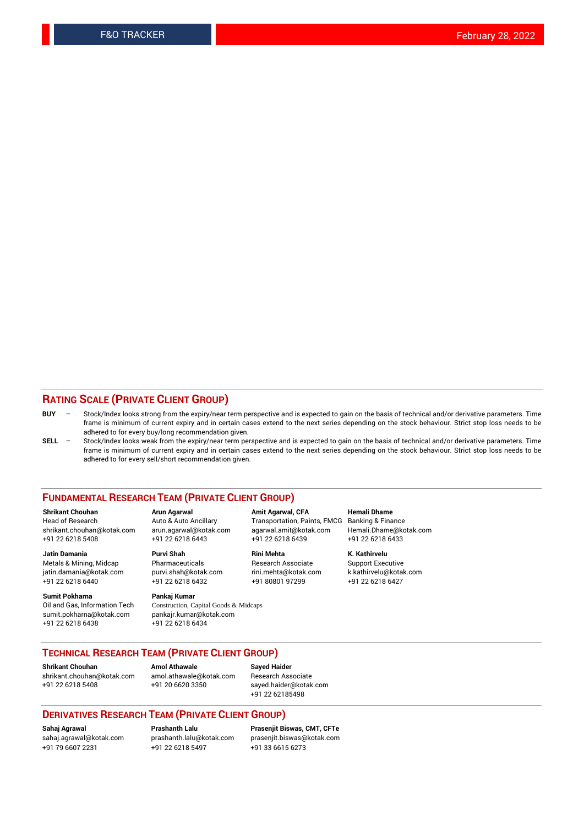#### **RATING SCALE (PRIVATE CLIENT GROUP)**

- **BUY**  Stock/Index looks strong from the expiry/near term perspective and is expected to gain on the basis of technical and/or derivative parameters. Time frame is minimum of current expiry and in certain cases extend to the next series depending on the stock behaviour. Strict stop loss needs to be adhered to for every buy/long recommendation given.
- **SELL** Stock/Index looks weak from the expiry/near term perspective and is expected to gain on the basis of technical and/or derivative parameters. Time frame is minimum of current expiry and in certain cases extend to the next series depending on the stock behaviour. Strict stop loss needs to be adhered to for every sell/short recommendation given.

#### **FUNDAMENTAL RESEARCH TEAM (PRIVATE CLIENT GROUP)**

**Shrikant Chouhan Arun Agarwal Amit Agarwal, CFA Hemali Dhame** shrikant.chouhan@kotak.com arun.agarwal@kotak.com agarwal.amit@kotak.com Hemali.Dhame@kotak.com +91 22 6218 5408 +91 22 6218 6443 +91 22 6218 6439 +91 22 6218 6433

jatin.damania@kotak.com +91 22 6218 6440 +91 22 6218 6432 +91 80801 97299 +91 22 6218 6427

**Sumit Pokharna** Pankaj Kumar<br>Oil and Gas, Information Tech Construction, Ca sumit.pokharna@kotak.com pankajr.kumar@kotak.com +91 22 6218 6438 +91 22 6218 6434

**Jatin Damania Purvi Shah Rini Mehta K. Kathirvelu**

Construction, Capital Goods & Midcaps

Transportation, Paints, FMCG

Metals & Mining, Midcap Pharmaceuticals Pharmaceuticals Research Associate Support Executive<br>
iatin.damania@kotak.com purvi.shah@kotak.com rini.mehta@kotak.com k.kathirvelu@kotak.com

### **TECHNICAL RESEARCH TEAM (PRIVATE CLIENT GROUP)**

[shrikant.chouhan@kotak.com](mailto:shrikant.chouhan@kotak.com) [amol.athawale@kotak.com](mailto:amol.athawale@kotak.com) Research Associate +91 22 6218 5408 +91 20 6620 3350 [sayed.haider@kotak.com](mailto:sayed.haider@kotak.com)

**Shrikant Chouhan Amol Athawale Sayed Haider**

+91 22 62185498

#### **DERIVATIVES RESEARCH TEAM (PRIVATE CLIENT GROUP)**

+91 79 6607 2231 +91 22 6218 5497 +91 33 6615 6273

**Sahaj Agrawal Prashanth Lalu Prasenjit Biswas, CMT, CFTe** [prasenjit.biswas@kotak.com](mailto:prasenjit.biswas@kotak.com)